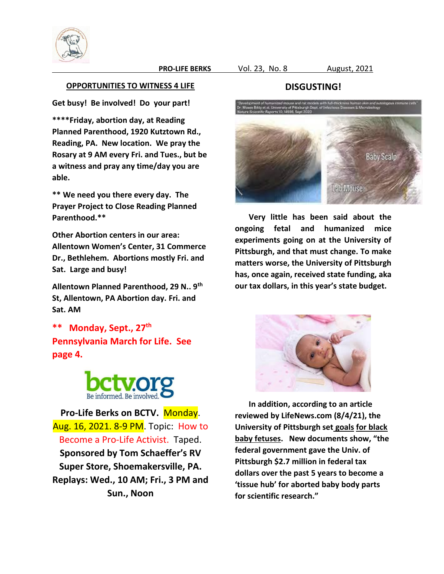

#### **OPPORTUNITIES TO WITNESS 4 LIFE**

**Get busy! Be involved! Do your part!**

**\*\*\*\*Friday, abortion day, at Reading Planned Parenthood, 1920 Kutztown Rd., Reading, PA. New location. We pray the Rosary at 9 AM every Fri. and Tues., but be a witness and pray any time/day you are able.** 

**\*\* We need you there every day. The Prayer Project to Close Reading Planned Parenthood.\*\***

**Other Abortion centers in our area: Allentown Women's Center, 31 Commerce Dr., Bethlehem. Abortions mostly Fri. and Sat. Large and busy!**

**Allentown Planned Parenthood, 29 N.. 9th St, Allentown, PA Abortion day. Fri. and Sat. AM**

**Monday, Sept., 27th Pennsylvania March for Life. See page 4.**



**Pro-Life Berks on BCTV.** Monday. Aug. 16, 2021. 8-9 PM. Topic: How to Become a Pro-Life Activist. Taped. **Sponsored by Tom Schaeffer's RV Super Store, Shoemakersville, PA. Replays: Wed., 10 AM; Fri., 3 PM and Sun., Noon**

## **DISGUSTING!**



 **Very little has been said about the ongoing fetal and humanized mice experiments going on at the University of Pittsburgh, and that must change. To make matters worse, the University of Pittsburgh has, once again, received state funding, aka our tax dollars, in this year's state budget.** 



 **In addition, according to an article reviewed by LifeNews.com (8/4/21), the University of Pittsburgh set goals for black baby fetuses. New documents show, "the federal government gave the Univ. of Pittsburgh \$2.7 million in federal tax dollars over the past 5 years to become a 'tissue hub' for aborted baby body parts for scientific research."**

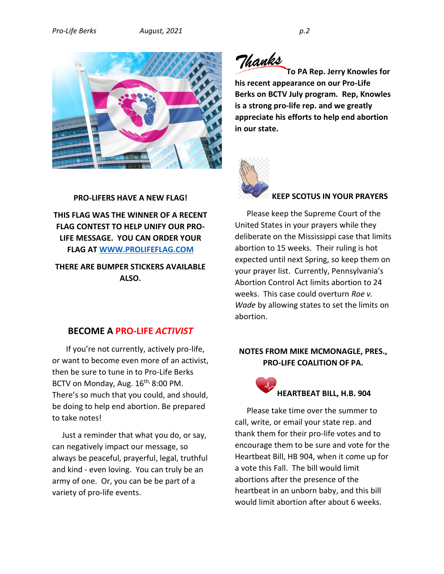*Pro-Life Berks August, 2021 p.2*



**PRO-LIFERS HAVE A NEW FLAG!**

**THIS FLAG WAS THE WINNER OF A RECENT FLAG CONTEST TO HELP UNIFY OUR PRO-LIFE MESSAGE. YOU CAN ORDER YOUR FLAG AT WWW.PROLIFEFLAG.COM**

**THERE ARE BUMPER STICKERS AVAILABLE ALSO.**

### **BECOME A PRO-LIFE** *ACTIVIST*

If you're not currently, actively pro-life, or want to become even more of an activist, then be sure to tune in to Pro-Life Berks BCTV on Monday, Aug. 16<sup>th,</sup> 8:00 PM. There's so much that you could, and should, be doing to help end abortion. Be prepared to take notes!

 Just a reminder that what you do, or say, can negatively impact our message, so always be peaceful, prayerful, legal, truthful and kind - even loving. You can truly be an army of one. Or, you can be be part of a variety of pro-life events.

Thanks

**To PA Rep. Jerry Knowles for his recent appearance on our Pro-Life Berks on BCTV July program. Rep, Knowles is a strong pro-life rep. and we greatly appreciate his efforts to help end abortion in our state.**



#### **KEEP SCOTUS IN YOUR PRAYERS**

 Please keep the Supreme Court of the United States in your prayers while they deliberate on the Mississippi case that limits abortion to 15 weeks. Their ruling is hot expected until next Spring, so keep them on your prayer list. Currently, Pennsylvania's Abortion Control Act limits abortion to 24 weeks. This case could overturn *Roe v. Wade* by allowing states to set the limits on abortion.

#### **NOTES FROM MIKE MCMONAGLE, PRES., PRO-LIFE COALITION OF PA.**



Please take time over the summer to call, write, or email your state rep. and thank them for their pro-life votes and to encourage them to be sure and vote for the Heartbeat Bill, HB 904, when it come up for a vote this Fall. The bill would limit abortions after the presence of the heartbeat in an unborn baby, and this bill would limit abortion after about 6 weeks.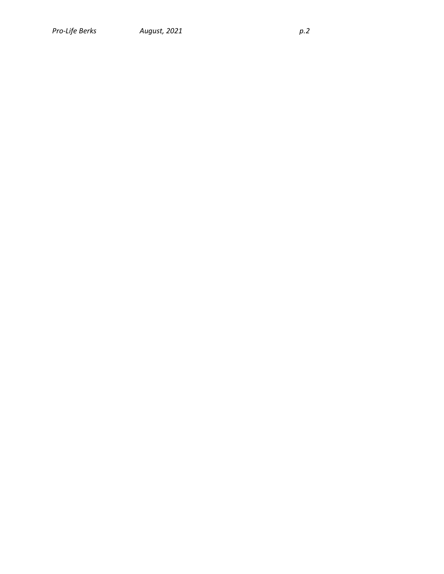*Pro-Life Berks August, 2021 p.2*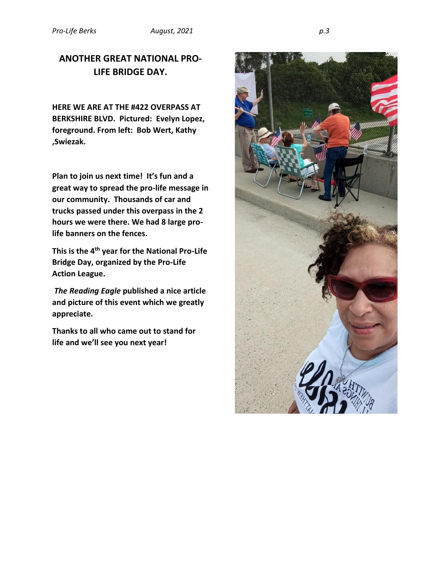# **ANOTHER GREAT NATIONAL PRO-LIFE BRIDGE DAY.**

**HERE WE ARE AT THE #422 OVERPASS AT BERKSHIRE BLVD. Pictured: Evelyn Lopez, foreground. From left: Bob Wert, Kathy ,Swiezak.**

**Plan to join us next time! It's fun and a great way to spread the pro-life message in our community. Thousands of car and trucks passed under this overpass in the 2 hours we were there. We had 8 large prolife banners on the fences.**

**This is the 4th year for the National Pro-Life Bridge Day, organized by the Pro-Life Action League.** 

*The Reading Eagle* **published a nice article and picture of this event which we greatly appreciate.**

**Thanks to all who came out to stand for life and we'll see you next year!**

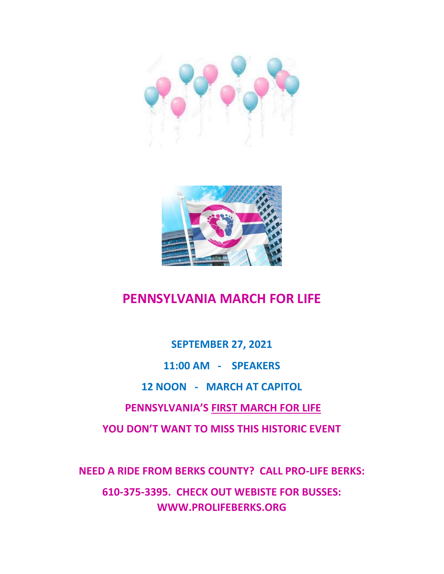



# **PENNSYLVANIA MARCH FOR LIFE**

**SEPTEMBER 27, 2021 11:00 AM - SPEAKERS 12 NOON - MARCH AT CAPITOL PENNSYLVANIA'S FIRST MARCH FOR LIFE YOU DON'T WANT TO MISS THIS HISTORIC EVENT**

**NEED A RIDE FROM BERKS COUNTY? CALL PRO-LIFE BERKS: 610-375-3395. CHECK OUT WEBISTE FOR BUSSES: WWW.PROLIFEBERKS.ORG**